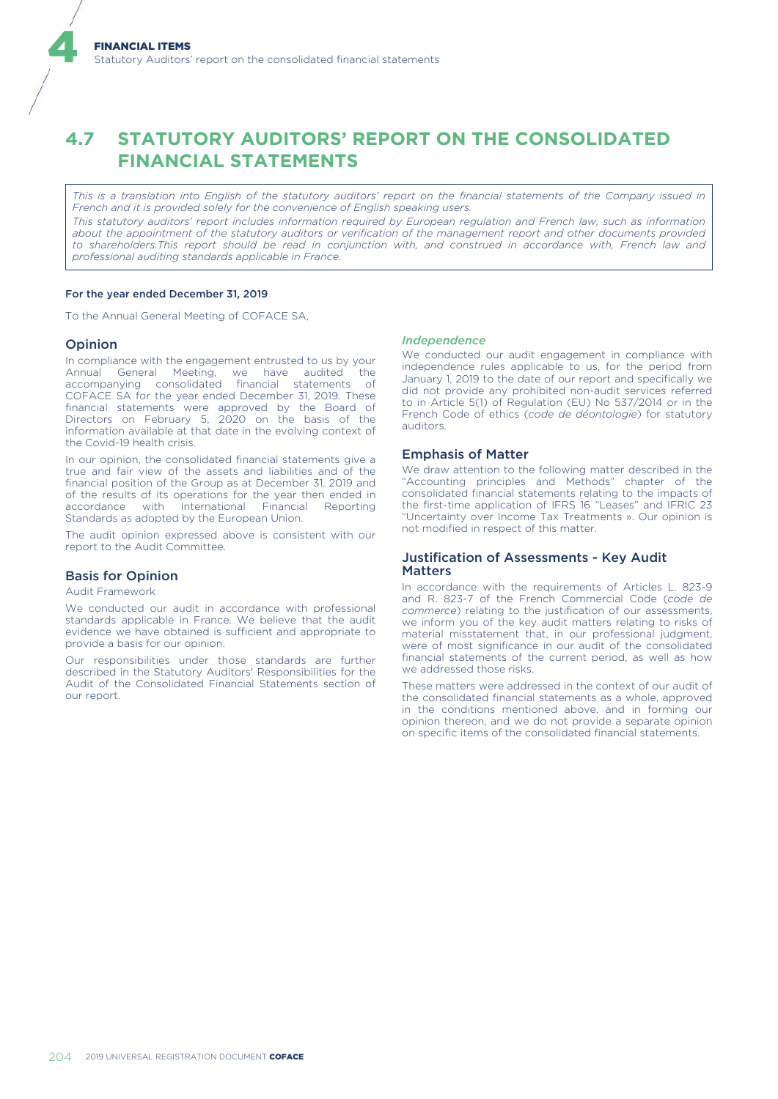# **4.7 STATUTORY AUDITORS' REPORT ON THE CONSOLIDATED FINANCIAL STATEMENTS**

*This is a translation into English of the statutory auditors' report on the financial statements of the Company issued in French and it is provided solely for the convenience of English speaking users.*

*This statutory auditors' report includes information required by European regulation and French law, such as information about the appointment of the statutory auditors or verification of the management report and other documents provided to shareholders.This report should be read in conjunction with, and construed in accordance with, French law and professional auditing standards applicable in France.*

## For the year ended December 31, 2019

To the Annual General Meeting of COFACE SA,

#### Opinion

4

In compliance with the engagement entrusted to us by your Annual General Meeting, we have audited the accompanying consolidated financial statements of COFACE SA for the year ended December 31, 2019. These financial statements were approved by the Board of Directors on February 5, 2020 on the basis of the information available at that date in the evolving context of the Covid-19 health crisis.

In our opinion, the consolidated financial statements give a true and fair view of the assets and liabilities and of the financial position of the Group as at December 31, 2019 and of the results of its operations for the year then ended in accordance with International Financial Reporting Standards as adopted by the European Union.

The audit opinion expressed above is consistent with our report to the Audit Committee.

#### Basis for Opinion

Audit Framework

We conducted our audit in accordance with professional standards applicable in France. We believe that the audit evidence we have obtained is sufficient and appropriate to provide a basis for our opinion.

Our responsibilities under those standards are further described in the Statutory Auditors' Responsibilities for the Audit of the Consolidated Financial Statements section of our report.

#### *Independence*

We conducted our audit engagement in compliance with independence rules applicable to us, for the period from January 1, 2019 to the date of our report and specifically we did not provide any prohibited non-audit services referred to in Article 5(1) of Regulation (EU) No 537/2014 or in the French Code of ethics (*code de déontologie*) for statutory auditors.

# Emphasis of Matter

We draw attention to the following matter described in the "Accounting principles and Methods" chapter of the consolidated financial statements relating to the impacts of the first-time application of IFRS 16 "Leases" and IFRIC 23 "Uncertainty over Income Tax Treatments ». Our opinion is not modified in respect of this matter.

# Justification of Assessments - Key Audit Matters

In accordance with the requirements of Articles L. 823-9 and R. 823-7 of the French Commercial Code (*code de commerce*) relating to the justification of our assessments, we inform you of the key audit matters relating to risks of material misstatement that, in our professional judgment, were of most significance in our audit of the consolidated financial statements of the current period, as well as how we addressed those risks.

These matters were addressed in the context of our audit of the consolidated financial statements as a whole, approved in the conditions mentioned above, and in forming our opinion thereon, and we do not provide a separate opinion on specific items of the consolidated financial statements.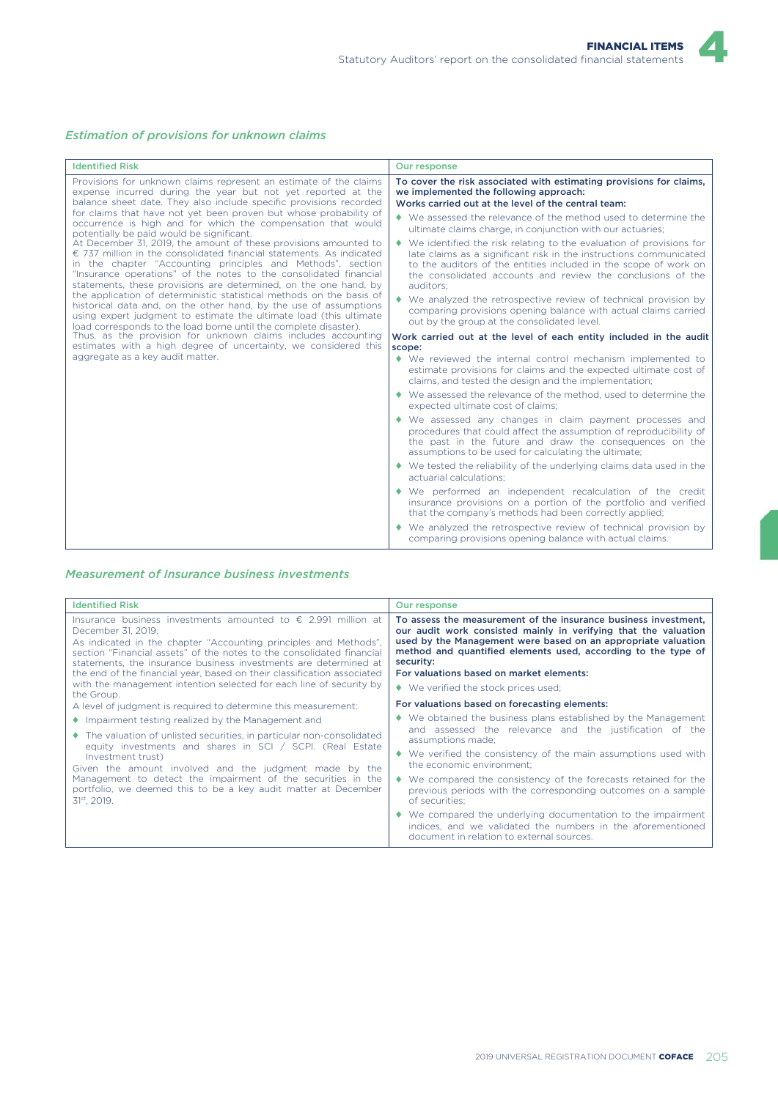4



| <b>Identified Risk</b>                                                                                                                                                                                                                                                                                                                                                                                                                                                                                                                                                                                                                                                                                                                                                                                                                                                                                                                                                                                                                                                                                                                                                                                                | Our response                                                                                                                                                                                                                                                                                                                                                                                                                                                                                                                                                                                                       |
|-----------------------------------------------------------------------------------------------------------------------------------------------------------------------------------------------------------------------------------------------------------------------------------------------------------------------------------------------------------------------------------------------------------------------------------------------------------------------------------------------------------------------------------------------------------------------------------------------------------------------------------------------------------------------------------------------------------------------------------------------------------------------------------------------------------------------------------------------------------------------------------------------------------------------------------------------------------------------------------------------------------------------------------------------------------------------------------------------------------------------------------------------------------------------------------------------------------------------|--------------------------------------------------------------------------------------------------------------------------------------------------------------------------------------------------------------------------------------------------------------------------------------------------------------------------------------------------------------------------------------------------------------------------------------------------------------------------------------------------------------------------------------------------------------------------------------------------------------------|
| Provisions for unknown claims represent an estimate of the claims<br>expense incurred during the year but not yet reported at the<br>balance sheet date. They also include specific provisions recorded<br>for claims that have not yet been proven but whose probability of<br>occurrence is high and for which the compensation that would<br>potentially be paid would be significant.<br>At December 31, 2019, the amount of these provisions amounted to<br>$\epsilon$ 737 million in the consolidated financial statements. As indicated<br>in the chapter "Accounting principles and Methods", section<br>"Insurance operations" of the notes to the consolidated financial<br>statements, these provisions are determined, on the one hand, by<br>the application of deterministic statistical methods on the basis of<br>historical data and, on the other hand, by the use of assumptions<br>using expert judgment to estimate the ultimate load (this ultimate<br>load corresponds to the load borne until the complete disaster).<br>Thus, as the provision for unknown claims includes accounting<br>estimates with a high degree of uncertainty, we considered this<br>aggregate as a key audit matter. | To cover the risk associated with estimating provisions for claims,<br>we implemented the following approach:<br>Works carried out at the level of the central team:<br>• We assessed the relevance of the method used to determine the<br>ultimate claims charge, in conjunction with our actuaries;<br>$\blacklozenge$ We identified the risk relating to the evaluation of provisions for<br>late claims as a significant risk in the instructions communicated<br>to the auditors of the entities included in the scope of work on<br>the consolidated accounts and review the conclusions of the<br>auditors: |
|                                                                                                                                                                                                                                                                                                                                                                                                                                                                                                                                                                                                                                                                                                                                                                                                                                                                                                                                                                                                                                                                                                                                                                                                                       | • We analyzed the retrospective review of technical provision by<br>comparing provisions opening balance with actual claims carried<br>out by the group at the consolidated level.<br>Work carried out at the level of each entity included in the audit<br>scope:<br>• We reviewed the internal control mechanism implemented to<br>estimate provisions for claims and the expected ultimate cost of                                                                                                                                                                                                              |
|                                                                                                                                                                                                                                                                                                                                                                                                                                                                                                                                                                                                                                                                                                                                                                                                                                                                                                                                                                                                                                                                                                                                                                                                                       | claims, and tested the design and the implementation;<br>◆ We assessed the relevance of the method, used to determine the<br>expected ultimate cost of claims;                                                                                                                                                                                                                                                                                                                                                                                                                                                     |
|                                                                                                                                                                                                                                                                                                                                                                                                                                                                                                                                                                                                                                                                                                                                                                                                                                                                                                                                                                                                                                                                                                                                                                                                                       | • We assessed any changes in claim payment processes and<br>procedures that could affect the assumption of reproducibility of<br>the past in the future and draw the consequences on the<br>assumptions to be used for calculating the ultimate;                                                                                                                                                                                                                                                                                                                                                                   |
|                                                                                                                                                                                                                                                                                                                                                                                                                                                                                                                                                                                                                                                                                                                                                                                                                                                                                                                                                                                                                                                                                                                                                                                                                       | ◆ We tested the reliability of the underlying claims data used in the<br>actuarial calculations:                                                                                                                                                                                                                                                                                                                                                                                                                                                                                                                   |
|                                                                                                                                                                                                                                                                                                                                                                                                                                                                                                                                                                                                                                                                                                                                                                                                                                                                                                                                                                                                                                                                                                                                                                                                                       | • We performed an independent recalculation of the credit<br>insurance provisions on a portion of the portfolio and verified<br>that the company's methods had been correctly applied;                                                                                                                                                                                                                                                                                                                                                                                                                             |
|                                                                                                                                                                                                                                                                                                                                                                                                                                                                                                                                                                                                                                                                                                                                                                                                                                                                                                                                                                                                                                                                                                                                                                                                                       | • We analyzed the retrospective review of technical provision by<br>comparing provisions opening balance with actual claims.                                                                                                                                                                                                                                                                                                                                                                                                                                                                                       |

# *Measurement of Insurance business investments*

| <b>Identified Risk</b>                                                                                                                                                                                                                                                                                                                                                                                                                                                                                                                                                                                                                                                                                                                                                                                                                                                                                                                                                              | Our response                                                                                                                                                                                                                                                                                                                                                                                                                                                                                                                                                                                                                                                                                                                                                                                                                                                                                                                                                                                              |
|-------------------------------------------------------------------------------------------------------------------------------------------------------------------------------------------------------------------------------------------------------------------------------------------------------------------------------------------------------------------------------------------------------------------------------------------------------------------------------------------------------------------------------------------------------------------------------------------------------------------------------------------------------------------------------------------------------------------------------------------------------------------------------------------------------------------------------------------------------------------------------------------------------------------------------------------------------------------------------------|-----------------------------------------------------------------------------------------------------------------------------------------------------------------------------------------------------------------------------------------------------------------------------------------------------------------------------------------------------------------------------------------------------------------------------------------------------------------------------------------------------------------------------------------------------------------------------------------------------------------------------------------------------------------------------------------------------------------------------------------------------------------------------------------------------------------------------------------------------------------------------------------------------------------------------------------------------------------------------------------------------------|
| Insurance business investments amounted to $\epsilon$ 2.991 million at<br>December 31, 2019.<br>As indicated in the chapter "Accounting principles and Methods",<br>section "Financial assets" of the notes to the consolidated financial<br>statements, the insurance business investments are determined at<br>the end of the financial year, based on their classification associated<br>with the management intention selected for each line of security by<br>the Group.<br>A level of judgment is required to determine this measurement:<br>• Impairment testing realized by the Management and<br>◆ The valuation of unlisted securities, in particular non-consolidated<br>equity investments and shares in SCI / SCPI. (Real Estate<br>Investment trust)<br>Given the amount involved and the judgment made by the<br>Management to detect the impairment of the securities in the<br>portfolio, we deemed this to be a key audit matter at December<br>$31^{st}$ , 2019. | To assess the measurement of the insurance business investment.<br>our audit work consisted mainly in verifying that the valuation<br>used by the Management were based on an appropriate valuation<br>method and quantified elements used, according to the type of<br>security:<br>For valuations based on market elements:<br>◆ We verified the stock prices used;<br>For valuations based on forecasting elements:<br>• We obtained the business plans established by the Management<br>and assessed the relevance and the justification of the<br>assumptions made;<br>• We verified the consistency of the main assumptions used with<br>the economic environment:<br>• We compared the consistency of the forecasts retained for the<br>previous periods with the corresponding outcomes on a sample<br>of securities:<br>• We compared the underlying documentation to the impairment<br>indices, and we validated the numbers in the aforementioned<br>document in relation to external sources. |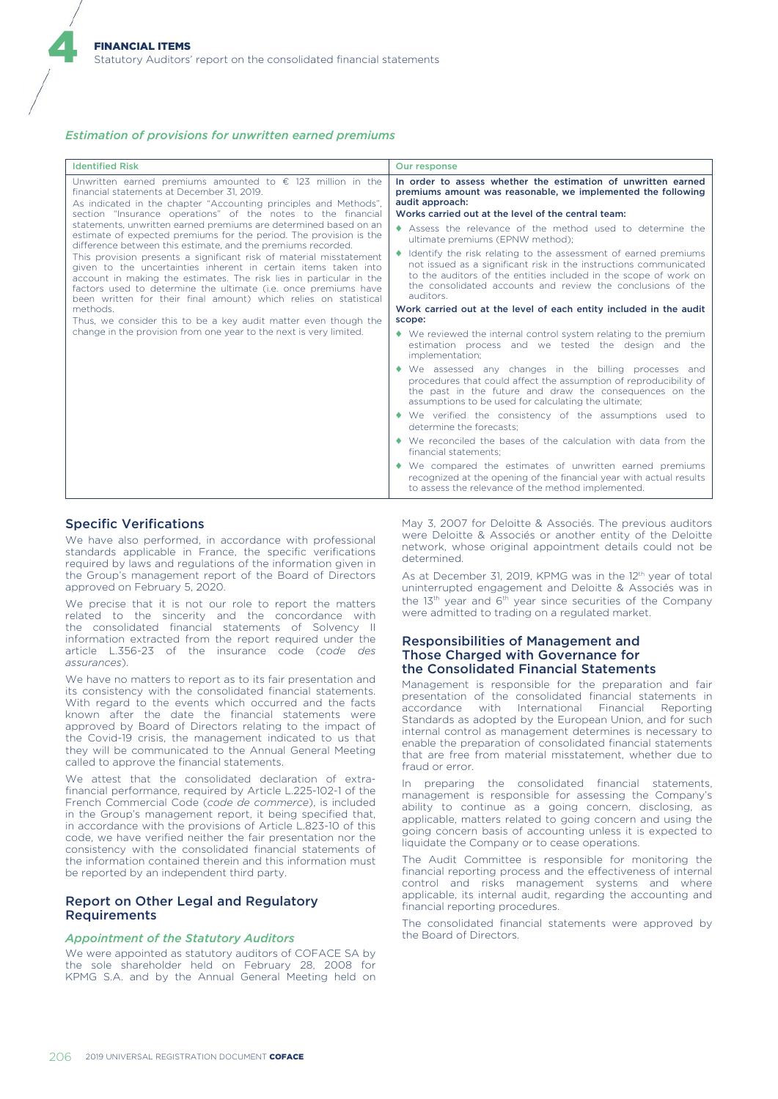## *Estimation of provisions for unwritten earned premiums*

| <b>Identified Risk</b>                                                                                                                                                                                                                                                                                                                                                                                                                                                                                                                                                                                                                                                                                                                                                                                                                                                                                                                                                               | Our response                                                                                                                                                                                                                                                                                                             |
|--------------------------------------------------------------------------------------------------------------------------------------------------------------------------------------------------------------------------------------------------------------------------------------------------------------------------------------------------------------------------------------------------------------------------------------------------------------------------------------------------------------------------------------------------------------------------------------------------------------------------------------------------------------------------------------------------------------------------------------------------------------------------------------------------------------------------------------------------------------------------------------------------------------------------------------------------------------------------------------|--------------------------------------------------------------------------------------------------------------------------------------------------------------------------------------------------------------------------------------------------------------------------------------------------------------------------|
| Unwritten earned premiums amounted to $\epsilon$ 123 million in the<br>financial statements at December 31, 2019.<br>As indicated in the chapter "Accounting principles and Methods",<br>section "Insurance operations" of the notes to the financial<br>statements, unwritten earned premiums are determined based on an<br>estimate of expected premiums for the period. The provision is the<br>difference between this estimate, and the premiums recorded.<br>This provision presents a significant risk of material misstatement<br>given to the uncertainties inherent in certain items taken into<br>account in making the estimates. The risk lies in particular in the<br>factors used to determine the ultimate ( <i>i.e.</i> once premiums have<br>been written for their final amount) which relies on statistical<br>methods.<br>Thus, we consider this to be a key audit matter even though the<br>change in the provision from one year to the next is very limited. | In order to assess whether the estimation of unwritten earned<br>premiums amount was reasonable, we implemented the following<br>audit approach:<br>Works carried out at the level of the central team:<br>Assess the relevance of the method used to determine the                                                      |
|                                                                                                                                                                                                                                                                                                                                                                                                                                                                                                                                                                                                                                                                                                                                                                                                                                                                                                                                                                                      | ultimate premiums (EPNW method);<br>Identify the risk relating to the assessment of earned premiums<br>not issued as a significant risk in the instructions communicated<br>to the auditors of the entities included in the scope of work on<br>the consolidated accounts and review the conclusions of the<br>auditors. |
|                                                                                                                                                                                                                                                                                                                                                                                                                                                                                                                                                                                                                                                                                                                                                                                                                                                                                                                                                                                      | Work carried out at the level of each entity included in the audit                                                                                                                                                                                                                                                       |
|                                                                                                                                                                                                                                                                                                                                                                                                                                                                                                                                                                                                                                                                                                                                                                                                                                                                                                                                                                                      | scope:                                                                                                                                                                                                                                                                                                                   |
|                                                                                                                                                                                                                                                                                                                                                                                                                                                                                                                                                                                                                                                                                                                                                                                                                                                                                                                                                                                      | ◆ We reviewed the internal control system relating to the premium<br>estimation process and we tested the design and the<br>implementation;                                                                                                                                                                              |
|                                                                                                                                                                                                                                                                                                                                                                                                                                                                                                                                                                                                                                                                                                                                                                                                                                                                                                                                                                                      | We assessed any changes in the billing processes and<br>procedures that could affect the assumption of reproducibility of<br>the past in the future and draw the consequences on the<br>assumptions to be used for calculating the ultimate;                                                                             |
|                                                                                                                                                                                                                                                                                                                                                                                                                                                                                                                                                                                                                                                                                                                                                                                                                                                                                                                                                                                      | • We verified the consistency of the assumptions used to<br>determine the forecasts:                                                                                                                                                                                                                                     |
|                                                                                                                                                                                                                                                                                                                                                                                                                                                                                                                                                                                                                                                                                                                                                                                                                                                                                                                                                                                      | • We reconciled the bases of the calculation with data from the<br>financial statements;                                                                                                                                                                                                                                 |
|                                                                                                                                                                                                                                                                                                                                                                                                                                                                                                                                                                                                                                                                                                                                                                                                                                                                                                                                                                                      | We compared the estimates of unwritten earned premiums<br>recognized at the opening of the financial year with actual results<br>to assess the relevance of the method implemented.                                                                                                                                      |

# Specific Verifications

4

We have also performed, in accordance with professional standards applicable in France, the specific verifications required by laws and regulations of the information given in the Group's management report of the Board of Directors approved on February 5, 2020.

We precise that it is not our role to report the matters related to the sincerity and the concordance with the consolidated financial statements of Solvency II information extracted from the report required under the article L.356-23 of the insurance code (*code des assurances*).

We have no matters to report as to its fair presentation and its consistency with the consolidated financial statements. With regard to the events which occurred and the facts known after the date the financial statements were approved by Board of Directors relating to the impact of the Covid-19 crisis, the management indicated to us that they will be communicated to the Annual General Meeting called to approve the financial statements.

We attest that the consolidated declaration of extrafinancial performance, required by Article L.225-102-1 of the French Commercial Code (*code de commerce*), is included in the Group's management report, it being specified that, in accordance with the provisions of Article L.823-10 of this code, we have verified neither the fair presentation nor the consistency with the consolidated financial statements of the information contained therein and this information must be reported by an independent third party.

# Report on Other Legal and Regulatory Requirements

## *Appointment of the Statutory Auditors*

We were appointed as statutory auditors of COFACE SA by the sole shareholder held on February 28, 2008 for KPMG S.A. and by the Annual General Meeting held on May 3, 2007 for Deloitte & Associés. The previous auditors were Deloitte & Associés or another entity of the Deloitte network, whose original appointment details could not be determined.

As at December 31, 2019, KPMG was in the 12<sup>th</sup> year of total uninterrupted engagement and Deloitte & Associés was in the 13<sup>th</sup> year and 6<sup>th</sup> year since securities of the Company were admitted to trading on a regulated market.

# Responsibilities of Management and Those Charged with Governance for the Consolidated Financial Statements

Management is responsible for the preparation and fair presentation of the consolidated financial statements in accordance with International Financial Reporting Standards as adopted by the European Union, and for such internal control as management determines is necessary to enable the preparation of consolidated financial statements that are free from material misstatement, whether due to fraud or error.

In preparing the consolidated financial statements, management is responsible for assessing the Company's ability to continue as a going concern, disclosing, as applicable, matters related to going concern and using the going concern basis of accounting unless it is expected to liquidate the Company or to cease operations.

The Audit Committee is responsible for monitoring the financial reporting process and the effectiveness of internal control and risks management systems and where applicable, its internal audit, regarding the accounting and financial reporting procedures.

The consolidated financial statements were approved by the Board of Directors.